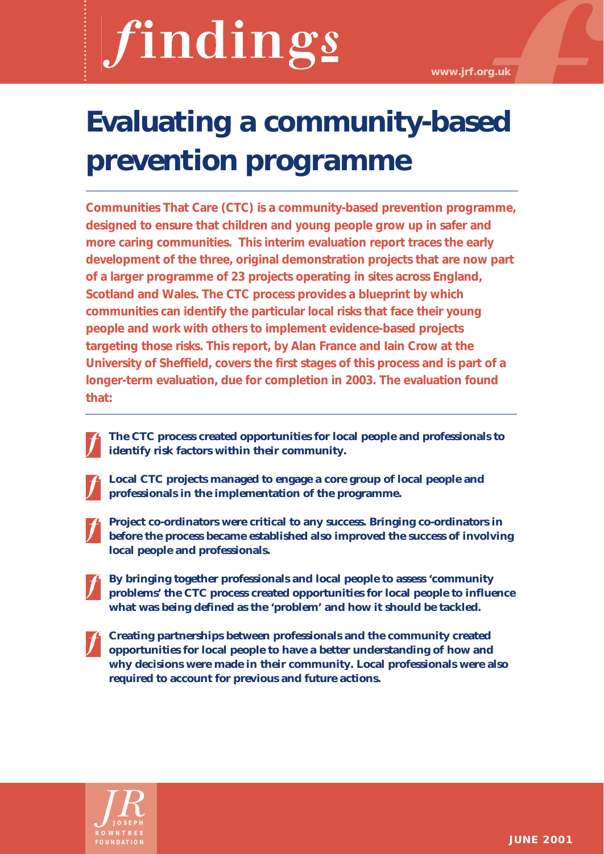# findings

**www.jrf.org.uk**

## **Evaluating a community-based prevention programme**

**Communities That Care (CTC) is a community-based prevention programme, designed to ensure that children and young people grow up in safer and more caring communities. This interim evaluation report traces the early development of the three, original demonstration projects that are now part of a larger programme of 23 projects operating in sites across England, Scotland and Wales. The CTC process provides a blueprint by which communities can identify the particular local risks that face their young people and work with others to implement evidence-based projects targeting those risks. This report, by Alan France and Iain Crow at the University of Sheffield, covers the first stages of this process and is part of a longer-term evaluation, due for completion in 2003. The evaluation found that:**

- **The CTC process created opportunities for local people and professionals to identify risk factors within their community.** 
	- **Local CTC projects managed to engage a core group of local people and professionals in the implementation of the programme.**
- 

**Project co-ordinators were critical to any success. Bringing co-ordinators in before the process became established also improved the success of involving local people and professionals.**

- **By bringing together professionals and local people to assess 'community problems' the CTC process created opportunities for local people to influence what was being defined as the 'problem' and how it should be tackled.**
- **Creating partnerships between professionals and the community created opportunities for local people to have a better understanding of how and why decisions were made in their community. Local professionals were also required to account for previous and future actions.**

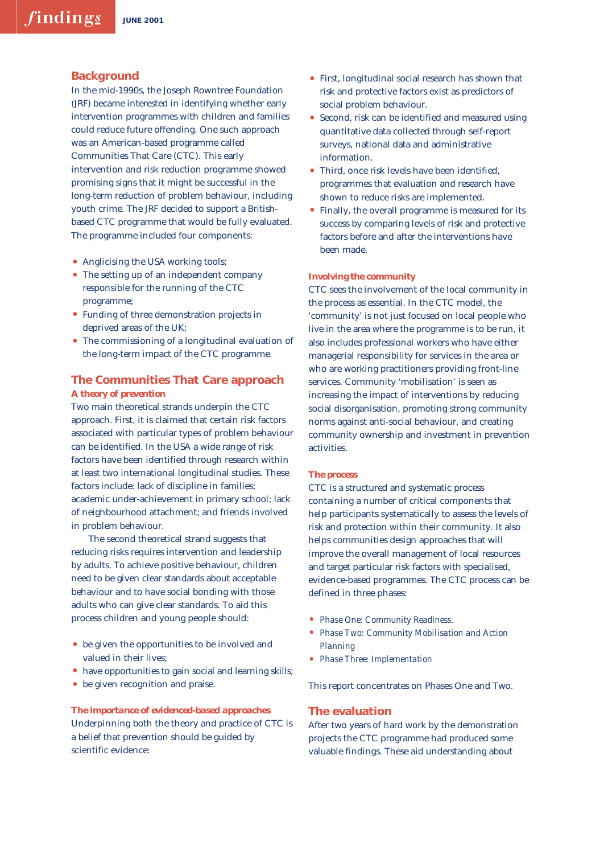#### **Background**

In the mid-1990s, the Joseph Rowntree Foundation (JRF) became interested in identifying whether early intervention programmes with children and families could reduce future offending. One such approach was an American-based programme called Communities That Care (CTC). This early intervention and risk reduction programme showed promising signs that it might be successful in the long-term reduction of problem behaviour, including youth crime. The JRF decided to support a Britishbased CTC programme that would be fully evaluated. The programme included four components:

- Anglicising the USA working tools;
- The setting up of an independent company responsible for the running of the CTC programme;
- Funding of three demonstration projects in deprived areas of the UK;
- The commissioning of a longitudinal evaluation of the long-term impact of the CTC programme.

### **The Communities That Care approach**  *A theory of prevention*

Two main theoretical strands underpin the CTC approach. First, it is claimed that certain risk factors associated with particular types of problem behaviour can be identified. In the USA a wide range of risk factors have been identified through research within at least two international longitudinal studies. These factors include: lack of discipline in families; academic under-achievement in primary school; lack of neighbourhood attachment; and friends involved in problem behaviour.

The second theoretical strand suggests that reducing risks requires intervention and leadership by adults. To achieve positive behaviour, children need to be given clear standards about acceptable behaviour and to have social bonding with those adults who can give clear standards. To aid this process children and young people should:

- be given the opportunities to be involved and valued in their lives;
- have opportunities to gain social and learning skills;
- be given recognition and praise.

*The importance of evidenced-based approaches* Underpinning both the theory and practice of CTC is a belief that prevention should be guided by scientific evidence:

- First, longitudinal social research has shown that risk and protective factors exist as predictors of social problem behaviour.
- Second, risk can be identified and measured using quantitative data collected through self-report surveys, national data and administrative information.
- Third, once risk levels have been identified, programmes that evaluation and research have shown to reduce risks are implemented.
- Finally, the overall programme is measured for its success by comparing levels of risk and protective factors before and after the interventions have been made.

#### *Involving the community*

CTC sees the involvement of the local community in the process as essential. In the CTC model, the 'community' is not just focused on local people who live in the area where the programme is to be run, it also includes professional workers who have either managerial responsibility for services in the area or who are working practitioners providing front-line services. Community 'mobilisation' is seen as increasing the impact of interventions by reducing social disorganisation, promoting strong community norms against anti-social behaviour, and creating community ownership and investment in prevention activities.

#### *The process*

CTC is a structured and systematic process containing a number of critical components that help participants systematically to assess the levels of risk and protection within their community. It also helps communities design approaches that will improve the overall management of local resources and target particular risk factors with specialised, evidence-based programmes. The CTC process can be defined in three phases:

- *• Phase One: Community Readiness.*
- *• Phase Two: Community Mobilisation and Action Planning*
- *• Phase Three: Implementation*

This report concentrates on Phases One and Two.

#### **The evaluation**

After two years of hard work by the demonstration projects the CTC programme had produced some valuable findings. These aid understanding about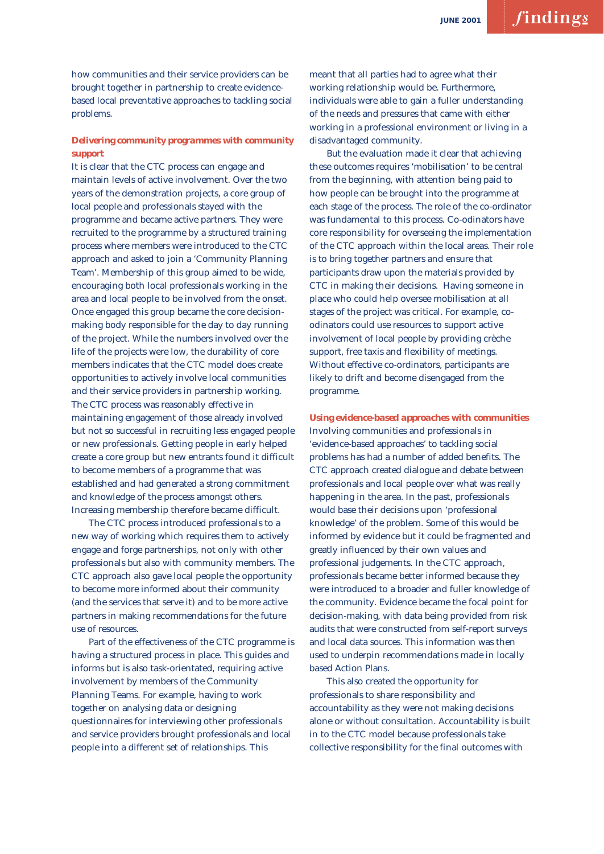how communities and their service providers can be brought together in partnership to create evidencebased local preventative approaches to tackling social problems.

#### *Delivering community programmes with community support*

It is clear that the CTC process can engage and maintain levels of active involvement. Over the two years of the demonstration projects, a core group of local people and professionals stayed with the programme and became active partners. They were recruited to the programme by a structured training process where members were introduced to the CTC approach and asked to join a 'Community Planning Team'. Membership of this group aimed to be wide, encouraging both local professionals working in the area and local people to be involved from the onset. Once engaged this group became the core decisionmaking body responsible for the day to day running of the project. While the numbers involved over the life of the projects were low, the durability of core members indicates that the CTC model does create opportunities to actively involve local communities and their service providers in partnership working. The CTC process was reasonably effective in maintaining engagement of those already involved but not so successful in recruiting less engaged people or new professionals. Getting people in early helped create a core group but new entrants found it difficult to become members of a programme that was established and had generated a strong commitment and knowledge of the process amongst others. Increasing membership therefore became difficult.

The CTC process introduced professionals to a new way of working which requires them to actively engage and forge partnerships, not only with other professionals but also with community members. The CTC approach also gave local people the opportunity to become more informed about their community (and the services that serve it) and to be more active partners in making recommendations for the future use of resources.

Part of the effectiveness of the CTC programme is having a structured process in place. This guides and informs but is also task-orientated, requiring active involvement by members of the Community Planning Teams. For example, having to work together on analysing data or designing questionnaires for interviewing other professionals and service providers brought professionals and local people into a different set of relationships. This

meant that all parties had to agree what their working relationship would be. Furthermore, individuals were able to gain a fuller understanding of the needs and pressures that came with either working in a professional environment or living in a disadvantaged community.

But the evaluation made it clear that achieving these outcomes requires 'mobilisation' to be central from the beginning, with attention being paid to how people can be brought into the programme at each stage of the process. The role of the co-ordinator was fundamental to this process. Co-odinators have core responsibility for overseeing the implementation of the CTC approach within the local areas. Their role is to bring together partners and ensure that participants draw upon the materials provided by CTC in making their decisions. Having someone in place who could help oversee mobilisation at all stages of the project was critical. For example, coodinators could use resources to support active involvement of local people by providing crèche support, free taxis and flexibility of meetings. Without effective co-ordinators, participants are likely to drift and become disengaged from the programme.

*Using evidence-based approaches with communities* Involving communities and professionals in 'evidence-based approaches' to tackling social problems has had a number of added benefits. The CTC approach created dialogue and debate between professionals and local people over what was really happening in the area. In the past, professionals would base their decisions upon 'professional knowledge' of the problem. Some of this would be informed by evidence but it could be fragmented and greatly influenced by their own values and professional judgements. In the CTC approach, professionals became better informed because they were introduced to a broader and fuller knowledge of the community. Evidence became the focal point for decision-making, with data being provided from risk audits that were constructed from self-report surveys and local data sources. This information was then used to underpin recommendations made in locally based Action Plans.

This also created the opportunity for professionals to share responsibility and accountability as they were not making decisions alone or without consultation. Accountability is built in to the CTC model because professionals take collective responsibility for the final outcomes with